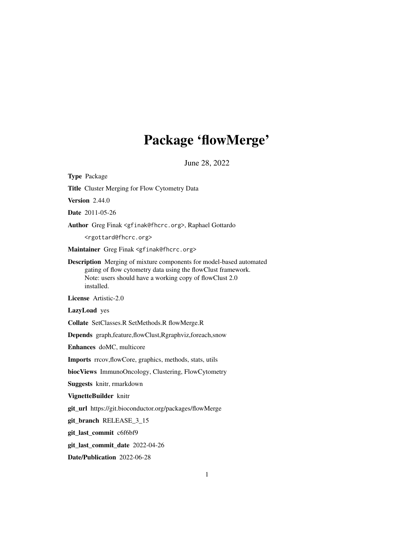## Package 'flowMerge'

June 28, 2022

<span id="page-0-0"></span>Type Package Title Cluster Merging for Flow Cytometry Data **Version** 2.44.0 Date 2011-05-26 Author Greg Finak <gfinak@fhcrc.org>, Raphael Gottardo <rgottard@fhcrc.org> Maintainer Greg Finak <gfinak@fhcrc.org> Description Merging of mixture components for model-based automated gating of flow cytometry data using the flowClust framework. Note: users should have a working copy of flowClust 2.0 installed. License Artistic-2.0 LazyLoad yes Collate SetClasses.R SetMethods.R flowMerge.R Depends graph,feature,flowClust,Rgraphviz,foreach,snow Enhances doMC, multicore Imports rrcov,flowCore, graphics, methods, stats, utils biocViews ImmunoOncology, Clustering, FlowCytometry Suggests knitr, rmarkdown VignetteBuilder knitr git\_url https://git.bioconductor.org/packages/flowMerge git\_branch RELEASE\_3\_15 git\_last\_commit c6f6bf9 git\_last\_commit\_date 2022-04-26 Date/Publication 2022-06-28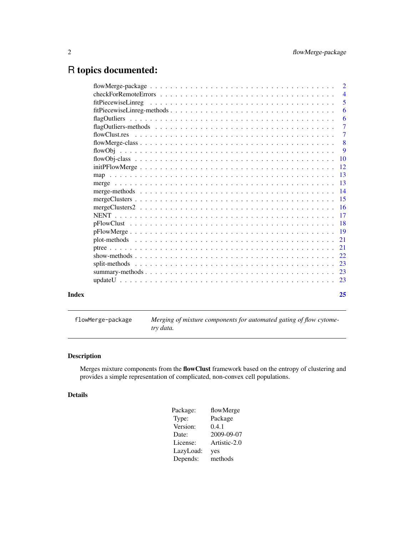### <span id="page-1-0"></span>R topics documented:

|       | $\overline{\phantom{0}}^2$ |
|-------|----------------------------|
|       | $\overline{4}$             |
|       | 5                          |
|       | 6                          |
|       | 6                          |
|       | $\overline{7}$             |
|       | $\overline{7}$             |
|       | $\overline{\mathbf{8}}$    |
|       | $\overline{9}$             |
|       |                            |
|       |                            |
|       |                            |
|       |                            |
|       |                            |
|       |                            |
|       |                            |
|       |                            |
|       |                            |
|       |                            |
|       |                            |
|       |                            |
|       |                            |
|       |                            |
|       |                            |
|       |                            |
|       |                            |
| Index | 25                         |

flowMerge-package *Merging of mixture components for automated gating of flow cytometry data.*

#### Description

Merges mixture components from the flowClust framework based on the entropy of clustering and provides a simple representation of complicated, non-convex cell populations.

#### Details

| Package:  | flowMerge    |
|-----------|--------------|
| Type:     | Package      |
| Version:  | 0.4.1        |
| Date:     | 2009-09-07   |
| License:  | Artistic-2.0 |
| LazyLoad: | yes          |
| Depends:  | methods      |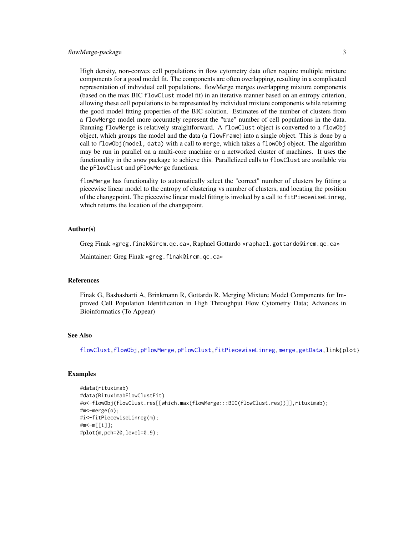<span id="page-2-0"></span>High density, non-convex cell populations in flow cytometry data often require multiple mixture components for a good model fit. The components are often overlapping, resulting in a complicated representation of individual cell populations. flowMerge merges overlapping mixture components (based on the max BIC flowClust model fit) in an iterative manner based on an entropy criterion, allowing these cell populations to be represented by individual mixture components while retaining the good model fitting properties of the BIC solution. Estimates of the number of clusters from a flowMerge model more accurately represent the "true" number of cell populations in the data. Running flowMerge is relatively straightforward. A flowClust object is converted to a flowObj object, which groups the model and the data (a flowFrame) into a single object. This is done by a call to flowObj(model, data) with a call to merge, which takes a flowObj object. The algorithm may be run in parallel on a multi-core machine or a networked cluster of machines. It uses the functionality in the snow package to achieve this. Parallelized calls to flowClust are available via the pFlowClust and pFlowMerge functions.

flowMerge has functionality to automatically select the "correct" number of clusters by fitting a piecewise linear model to the entropy of clustering vs number of clusters, and locating the position of the changepoint. The piecewise linear model fitting is invoked by a call to fitPiecewiseLinreg, which returns the location of the changepoint.

#### Author(s)

Greg Finak «greg.finak@ircm.qc.ca», Raphael Gottardo «raphael.gottardo@ircm.qc.ca»

Maintainer: Greg Finak «greg.finak@ircm.qc.ca»

#### References

Finak G, Bashasharti A, Brinkmann R, Gottardo R. Merging Mixture Model Components for Improved Cell Population Identification in High Throughput Flow Cytometry Data; Advances in Bioinformatics (To Appear)

#### See Also

[flowClust](#page-0-0)[,flowObj](#page-8-1)[,pFlowMerge,](#page-18-1)[pFlowClust,](#page-17-1)[fitPiecewiseLinreg](#page-4-1)[,merge](#page-12-1)[,getData,](#page-0-0)link{plot}

#### Examples

```
#data(rituximab)
#data(RituximabFlowClustFit)
#o<-flowObj(flowClust.res[[which.max(flowMerge:::BIC(flowClust.res))]],rituximab);
#m<-merge(o);
#i<-fitPiecewiseLinreg(m);
#m<-m[[i]];
#plot(m,pch=20,level=0.9);
```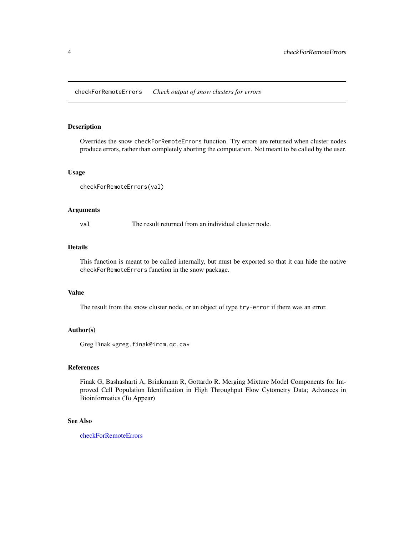<span id="page-3-1"></span><span id="page-3-0"></span>checkForRemoteErrors *Check output of snow clusters for errors*

#### Description

Overrides the snow checkForRemoteErrors function. Try errors are returned when cluster nodes produce errors, rather than completely aborting the computation. Not meant to be called by the user.

#### Usage

```
checkForRemoteErrors(val)
```
#### Arguments

val The result returned from an individual cluster node.

#### Details

This function is meant to be called internally, but must be exported so that it can hide the native checkForRemoteErrors function in the snow package.

#### Value

The result from the snow cluster node, or an object of type try-error if there was an error.

#### Author(s)

Greg Finak «greg.finak@ircm.qc.ca»

#### References

Finak G, Bashasharti A, Brinkmann R, Gottardo R. Merging Mixture Model Components for Improved Cell Population Identification in High Throughput Flow Cytometry Data; Advances in Bioinformatics (To Appear)

#### See Also

[checkForRemoteErrors](#page-3-1)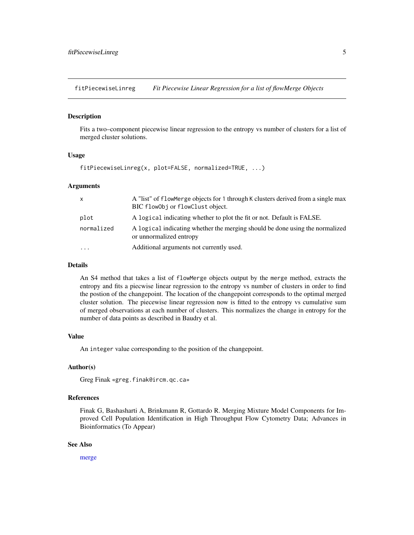<span id="page-4-1"></span><span id="page-4-0"></span>fitPiecewiseLinreg *Fit Piecewise Linear Regression for a list of flowMerge Objects*

#### Description

Fits a two–component piecewise linear regression to the entropy vs number of clusters for a list of merged cluster solutions.

#### Usage

fitPiecewiseLinreg(x, plot=FALSE, normalized=TRUE, ...)

#### **Arguments**

| X          | A "list" of flowMerge objects for 1 through K clusters derived from a single max<br>BIC flowObj or flowClust object. |
|------------|----------------------------------------------------------------------------------------------------------------------|
| plot       | A logical indicating whether to plot the fit or not. Default is FALSE.                                               |
| normalized | A logical indicating whether the merging should be done using the normalized<br>or unnormalized entropy              |
| $\ddotsc$  | Additional arguments not currently used.                                                                             |

#### Details

An S4 method that takes a list of flowMerge objects output by the merge method, extracts the entropy and fits a piecwise linear regression to the entropy vs number of clusters in order to find the postion of the changepoint. The location of the changepoint corresponds to the optimal merged cluster solution. The piecewise linear regression now is fitted to the entropy vs cumulative sum of merged observations at each number of clusters. This normalizes the change in entropy for the number of data points as described in Baudry et al.

#### Value

An integer value corresponding to the position of the changepoint.

#### Author(s)

Greg Finak «greg.finak@ircm.qc.ca»

#### References

Finak G, Bashasharti A, Brinkmann R, Gottardo R. Merging Mixture Model Components for Improved Cell Population Identification in High Throughput Flow Cytometry Data; Advances in Bioinformatics (To Appear)

#### See Also

[merge](#page-12-1)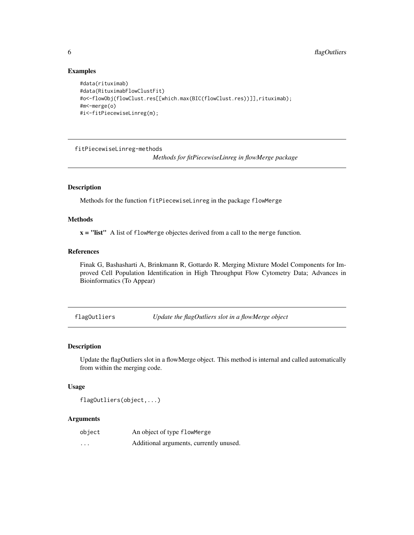#### Examples

```
#data(rituximab)
#data(RituximabFlowClustFit)
#o<-flowObj(flowClust.res[[which.max(BIC(flowClust.res))]],rituximab);
#m<-merge(o)
#i<-fitPiecewiseLinreg(m);
```
fitPiecewiseLinreg-methods

*Methods for fitPiecewiseLinreg in flowMerge package*

#### Description

Methods for the function fitPiecewiseLinreg in the package flowMerge

#### Methods

 $x =$  "list" A list of flowMerge objectes derived from a call to the merge function.

#### References

Finak G, Bashasharti A, Brinkmann R, Gottardo R. Merging Mixture Model Components for Improved Cell Population Identification in High Throughput Flow Cytometry Data; Advances in Bioinformatics (To Appear)

flagOutliers *Update the flagOutliers slot in a flowMerge object*

#### Description

Update the flagOutliers slot in a flowMerge object. This method is internal and called automatically from within the merging code.

#### Usage

flagOutliers(object,...)

#### Arguments

| object   | An object of type flowMerge             |
|----------|-----------------------------------------|
| $\cdots$ | Additional arguments, currently unused. |

<span id="page-5-0"></span>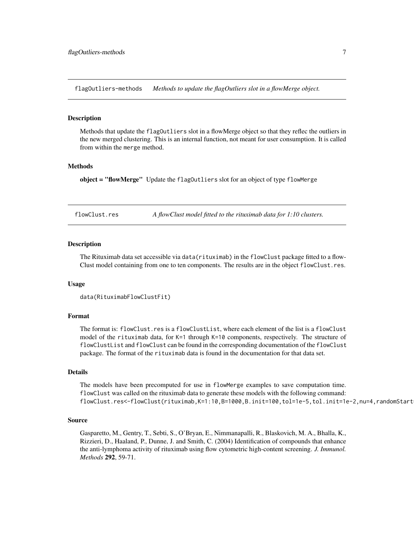<span id="page-6-0"></span>flagOutliers-methods *Methods to update the flagOutliers slot in a flowMerge object.*

#### **Description**

Methods that update the flagOutliers slot in a flowMerge object so that they reflec the outliers in the new merged clustering. This is an internal function, not meant for user consumption. It is called from within the merge method.

#### Methods

object = "flowMerge" Update the flagOutliers slot for an object of type flowMerge

flowClust.res *A flowClust model fitted to the rituximab data for 1:10 clusters.*

#### **Description**

The Rituximab data set accessible via data(rituximab) in the flowClust package fitted to a flow-Clust model containing from one to ten components. The results are in the object flowClust.res.

#### Usage

```
data(RituximabFlowClustFit)
```
#### Format

The format is: flowClust.res is a flowClustList, where each element of the list is a flowClust model of the rituximab data, for K=1 through K=10 components, respectively. The structure of flowClustList and flowClust can be found in the corresponding documentation of the flowClust package. The format of the rituximab data is found in the documentation for that data set.

#### Details

The models have been precomputed for use in flowMerge examples to save computation time. flowClust was called on the rituximab data to generate these models with the following command: flowClust.res<-flowClust(rituximab,K=1:10,B=1000,B.init=100,tol=1e-5,tol.init=1e-2,nu=4,randomStart

#### Source

Gasparetto, M., Gentry, T., Sebti, S., O'Bryan, E., Nimmanapalli, R., Blaskovich, M. A., Bhalla, K., Rizzieri, D., Haaland, P., Dunne, J. and Smith, C. (2004) Identification of compounds that enhance the anti-lymphoma activity of rituximab using flow cytometric high-content screening. *J. Immunol. Methods* 292, 59-71.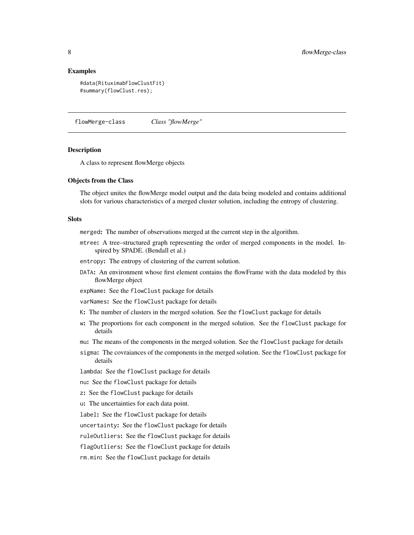#### <span id="page-7-0"></span>Examples

```
#data(RituximabFlowClustFit)
#summary(flowClust.res);
```
<span id="page-7-1"></span>flowMerge-class *Class "flowMerge"*

#### Description

A class to represent flowMerge objects

#### Objects from the Class

The object unites the flowMerge model output and the data being modeled and contains additional slots for various characteristics of a merged cluster solution, including the entropy of clustering.

#### **Slots**

merged: The number of observations merged at the current step in the algorithm.

- mtree: A tree–structured graph representing the order of merged components in the model. Inspired by SPADE. (Bendall et al.)
- entropy: The entropy of clustering of the current solution.
- DATA: An environment whose first element contains the flowFrame with the data modeled by this flowMerge object

expName: See the flowClust package for details

varNames: See the flowClust package for details

- K: The number of clusters in the merged solution. See the flowClust package for details
- w: The proportions for each component in the merged solution. See the flowClust package for details
- mu: The means of the components in the merged solution. See the flowClust package for details
- sigma: The covraiances of the components in the merged solution. See the flowClust package for details

lambda: See the flowClust package for details

- nu: See the flowClust package for details
- z: See the flowClust package for details
- u: The uncertainties for each data point.

label: See the flowClust package for details

uncertainty: See the flowClust package for details

ruleOutliers: See the flowClust package for details

flagOutliers: See the flowClust package for details

rm.min: See the flowClust package for details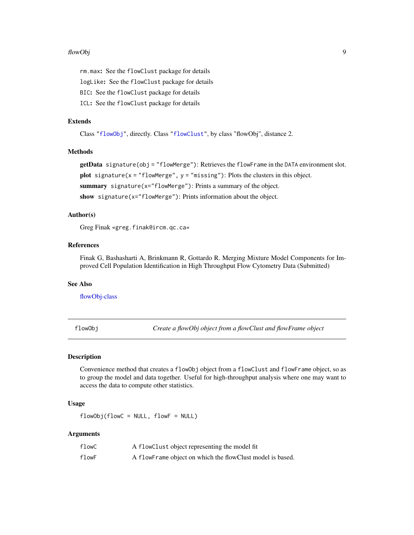#### <span id="page-8-0"></span>flowObj 9

rm.max: See the flowClust package for details

logLike: See the flowClust package for details

BIC: See the flowClust package for details

ICL: See the flowClust package for details

#### Extends

Class ["flowObj"](#page-9-1), directly. Class ["flowClust"](#page-0-0), by class "flowObj", distance 2.

#### Methods

getData signature(obj = "flowMerge"): Retrieves the flowFrame in the DATA environment slot. plot signature( $x =$  "flowMerge",  $y =$  "missing"): Plots the clusters in this object. summary signature(x="flowMerge"): Prints a summary of the object.

show signature(x="flowMerge"): Prints information about the object.

#### Author(s)

Greg Finak «greg.finak@ircm.qc.ca»

#### References

Finak G, Bashasharti A, Brinkmann R, Gottardo R. Merging Mixture Model Components for Improved Cell Population Identification in High Throughput Flow Cytometry Data (Submitted)

#### See Also

[flowObj-class](#page-9-1)

<span id="page-8-1"></span>flowObj *Create a flowObj object from a flowClust and flowFrame object*

#### Description

Convenience method that creates a flowObj object from a flowClust and flowFrame object, so as to group the model and data together. Useful for high-throughput analysis where one may want to access the data to compute other statistics.

#### Usage

 $flowObj(flowC = NULL, flowF = NULL)$ 

#### Arguments

| flowC | A flowClust object representing the model fit               |
|-------|-------------------------------------------------------------|
| flowF | A flow Frame object on which the flow Clust model is based. |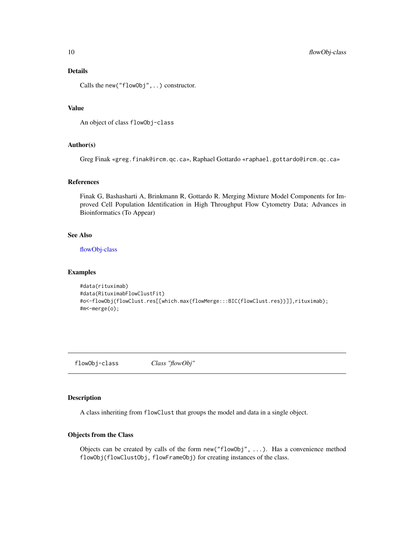#### <span id="page-9-0"></span>Details

Calls the new("flowObj",..) constructor.

#### Value

An object of class flowObj-class

#### Author(s)

Greg Finak «greg.finak@ircm.qc.ca», Raphael Gottardo «raphael.gottardo@ircm.qc.ca»

#### References

Finak G, Bashasharti A, Brinkmann R, Gottardo R. Merging Mixture Model Components for Improved Cell Population Identification in High Throughput Flow Cytometry Data; Advances in Bioinformatics (To Appear)

#### See Also

[flowObj-class](#page-9-1)

#### Examples

```
#data(rituximab)
#data(RituximabFlowClustFit)
#o<-flowObj(flowClust.res[[which.max(flowMerge:::BIC(flowClust.res))]],rituximab);
#m<-merge(o);
```
<span id="page-9-1"></span>flowObj-class *Class "flowObj"*

#### Description

A class inheriting from flowClust that groups the model and data in a single object.

#### Objects from the Class

Objects can be created by calls of the form new("flowObj", ...). Has a convenience method flowObj(flowClustObj, flowFrameObj) for creating instances of the class.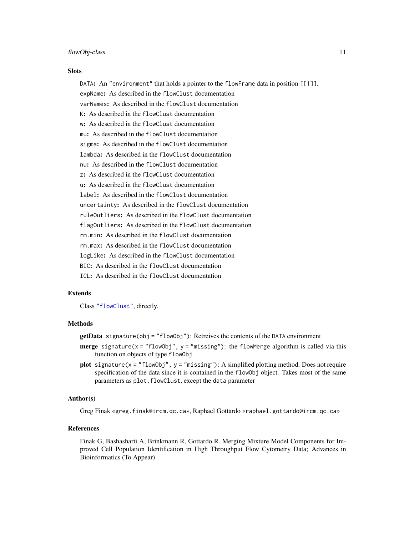#### <span id="page-10-0"></span>**Slots**

DATA: An "environment" that holds a pointer to the flowFrame data in position  $[1]$ . expName: As described in the flowClust documentation varNames: As described in the flowClust documentation K: As described in the flowClust documentation w: As described in the flowClust documentation mu: As described in the flowClust documentation sigma: As described in the flowClust documentation lambda: As described in the flowClust documentation nu: As described in the flowClust documentation z: As described in the flowClust documentation u: As described in the flowClust documentation label: As described in the flowClust documentation uncertainty: As described in the flowClust documentation ruleOutliers: As described in the flowClust documentation flagOutliers: As described in the flowClust documentation rm.min: As described in the flowClust documentation rm.max: As described in the flowClust documentation logLike: As described in the flowClust documentation BIC: As described in the flowClust documentation ICL: As described in the flowClust documentation

#### Extends

Class ["flowClust"](#page-0-0), directly.

#### Methods

 $getData$  signature(obj = "flowObj"): Retreives the contents of the DATA environment

- **merge** signature( $x =$  "flowObj",  $y =$  "missing"): the flowMerge algorithm is called via this function on objects of type flowObj.
- plot signature( $x =$  "flowObj",  $y =$  "missing"): A simplified plotting method. Does not require specification of the data since it is contained in the flowObj object. Takes most of the same parameters as plot.flowClust, except the data parameter

#### Author(s)

Greg Finak «greg.finak@ircm.qc.ca», Raphael Gottardo «raphael.gottardo@ircm.qc.ca»

#### References

Finak G, Bashasharti A, Brinkmann R, Gottardo R. Merging Mixture Model Components for Improved Cell Population Identification in High Throughput Flow Cytometry Data; Advances in Bioinformatics (To Appear)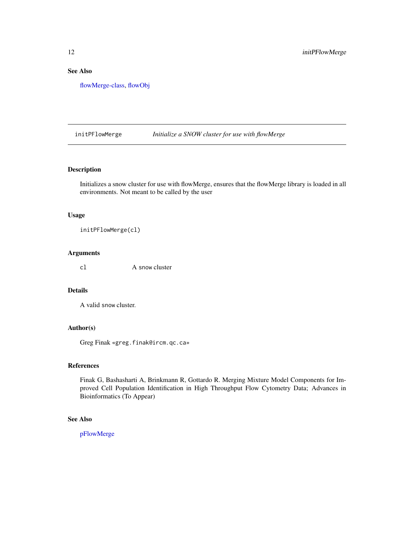#### <span id="page-11-0"></span>See Also

[flowMerge-class,](#page-7-1) [flowObj](#page-8-1)

initPFlowMerge *Initialize a SNOW cluster for use with flowMerge*

#### Description

Initializes a snow cluster for use with flowMerge, ensures that the flowMerge library is loaded in all environments. Not meant to be called by the user

#### Usage

initPFlowMerge(cl)

#### Arguments

cl A snow cluster

#### Details

A valid snow cluster.

#### Author(s)

Greg Finak «greg.finak@ircm.qc.ca»

#### References

Finak G, Bashasharti A, Brinkmann R, Gottardo R. Merging Mixture Model Components for Improved Cell Population Identification in High Throughput Flow Cytometry Data; Advances in Bioinformatics (To Appear)

#### See Also

[pFlowMerge](#page-18-1)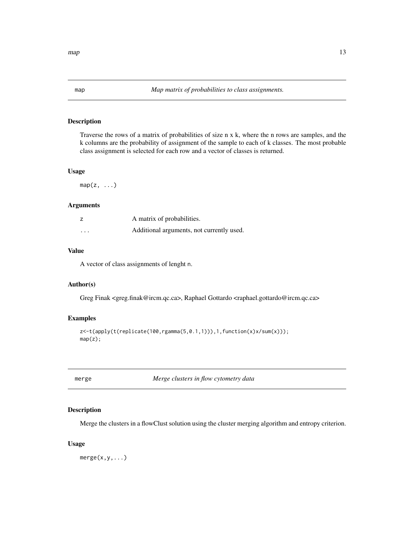#### <span id="page-12-0"></span>Description

Traverse the rows of a matrix of probabilities of size n x k, where the n rows are samples, and the k columns are the probability of assignment of the sample to each of k classes. The most probable class assignment is selected for each row and a vector of classes is returned.

#### Usage

 $map(z, \ldots)$ 

#### Arguments

|          | A matrix of probabilities.                |
|----------|-------------------------------------------|
| $\cdots$ | Additional arguments, not currently used. |

#### Value

A vector of class assignments of lenght n.

#### Author(s)

Greg Finak <greg.finak@ircm.qc.ca>, Raphael Gottardo <raphael.gottardo@ircm.qc.ca>

#### Examples

```
z<-t(apply(t(replicate(100,rgamma(5,0.1,1))),1,function(x)x/sum(x)));
map(z);
```
<span id="page-12-1"></span>merge *Merge clusters in flow cytometry data*

#### Description

Merge the clusters in a flowClust solution using the cluster merging algorithm and entropy criterion.

#### Usage

 $merge(x,y,...)$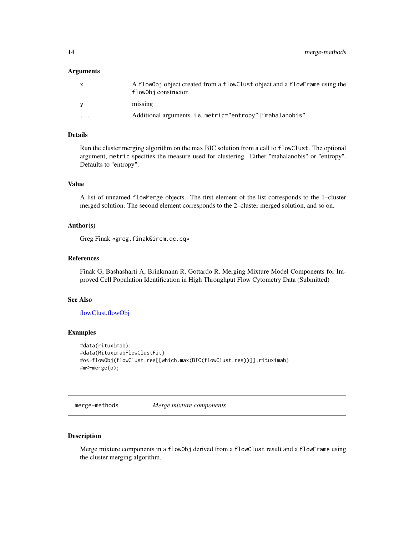#### <span id="page-13-0"></span>Arguments

| $\mathsf{x}$ | A flow0bj object created from a flowClust object and a flowFrame using the<br>flow0bj constructor. |
|--------------|----------------------------------------------------------------------------------------------------|
| <b>V</b>     | missing                                                                                            |
| .            | Additional arguments. i.e. metric="entropy" "mahalanobis"                                          |

#### Details

Run the cluster merging algorithm on the max BIC solution from a call to flowClust. The optional argument, metric specifies the measure used for clustering. Either "mahalanobis" or "entropy". Defaults to "entropy".

#### Value

A list of unnamed flowMerge objects. The first element of the list corresponds to the 1–cluster merged solution. The second element corresponds to the 2–cluster merged solution, and so on.

#### Author(s)

Greg Finak «greg.finak@ircm.qc.cq»

#### References

Finak G, Bashasharti A, Brinkmann R, Gottardo R. Merging Mixture Model Components for Improved Cell Population Identification in High Throughput Flow Cytometry Data (Submitted)

#### See Also

[flowClust](#page-0-0)[,flowObj](#page-8-1)

#### Examples

```
#data(rituximab)
#data(RituximabFlowClustFit)
#o<-flowObj(flowClust.res[[which.max(BIC(flowClust.res))]],rituximab)
#m<-merge(o);
```
merge-methods *Merge mixture components*

#### Description

Merge mixture components in a flowObj derived from a flowClust result and a flowFrame using the cluster merging algorithm.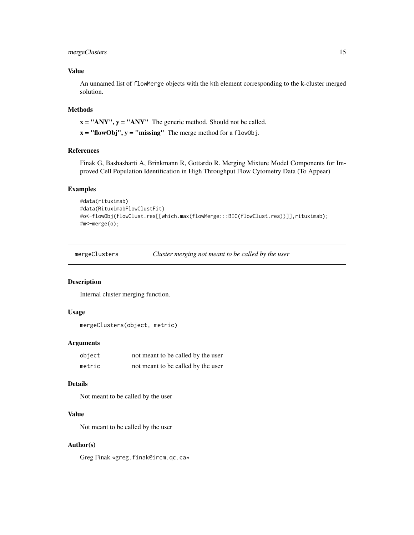#### <span id="page-14-0"></span>mergeClusters 15

#### Value

An unnamed list of flowMerge objects with the kth element corresponding to the k-cluster merged solution.

#### Methods

 $x = "ANY", y = "ANY"$  The generic method. Should not be called.

 $x = "flowObj", y = "missing"$  The merge method for a flowObj.

#### References

Finak G, Bashasharti A, Brinkmann R, Gottardo R. Merging Mixture Model Components for Improved Cell Population Identification in High Throughput Flow Cytometry Data (To Appear)

#### Examples

```
#data(rituximab)
#data(RituximabFlowClustFit)
#o<-flowObj(flowClust.res[[which.max(flowMerge:::BIC(flowClust.res))]],rituximab);
#m<-merge(o);
```
mergeClusters *Cluster merging not meant to be called by the user*

#### Description

Internal cluster merging function.

#### Usage

```
mergeClusters(object, metric)
```
#### Arguments

| object | not meant to be called by the user |
|--------|------------------------------------|
| metric | not meant to be called by the user |

#### Details

Not meant to be called by the user

#### Value

Not meant to be called by the user

#### Author(s)

Greg Finak «greg.finak@ircm.qc.ca»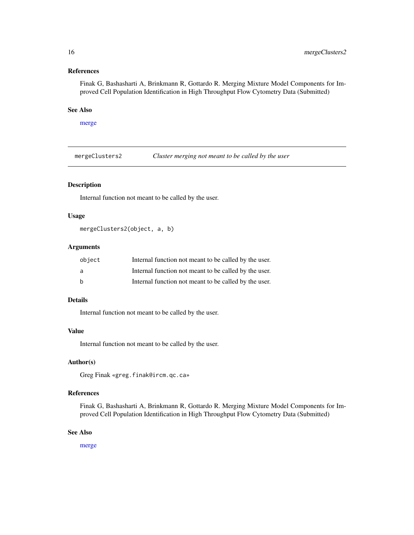#### <span id="page-15-0"></span>References

Finak G, Bashasharti A, Brinkmann R, Gottardo R. Merging Mixture Model Components for Improved Cell Population Identification in High Throughput Flow Cytometry Data (Submitted)

#### See Also

```
merge
```
mergeClusters2 *Cluster merging not meant to be called by the user*

#### Description

Internal function not meant to be called by the user.

#### Usage

```
mergeClusters2(object, a, b)
```
#### Arguments

| object       | Internal function not meant to be called by the user. |
|--------------|-------------------------------------------------------|
| a            | Internal function not meant to be called by the user. |
| <sub>b</sub> | Internal function not meant to be called by the user. |

#### Details

Internal function not meant to be called by the user.

#### Value

Internal function not meant to be called by the user.

#### Author(s)

Greg Finak «greg.finak@ircm.qc.ca»

#### References

Finak G, Bashasharti A, Brinkmann R, Gottardo R. Merging Mixture Model Components for Improved Cell Population Identification in High Throughput Flow Cytometry Data (Submitted)

#### See Also

[merge](#page-12-1)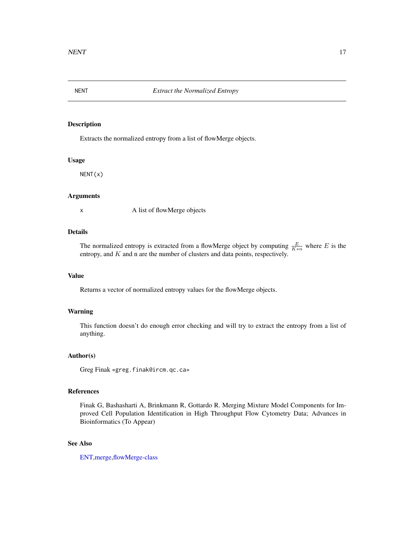<span id="page-16-0"></span>

#### Description

Extracts the normalized entropy from a list of flowMerge objects.

#### Usage

NENT(x)

#### Arguments

x A list of flowMerge objects

#### Details

The normalized entropy is extracted from a flowMerge object by computing  $\frac{E}{K*n}$  where E is the entropy, and  $K$  and n are the number of clusters and data points, respectively.

#### Value

Returns a vector of normalized entropy values for the flowMerge objects.

#### Warning

This function doesn't do enough error checking and will try to extract the entropy from a list of anything.

#### Author(s)

Greg Finak «greg.finak@ircm.qc.ca»

#### References

Finak G, Bashasharti A, Brinkmann R, Gottardo R. Merging Mixture Model Components for Improved Cell Population Identification in High Throughput Flow Cytometry Data; Advances in Bioinformatics (To Appear)

#### See Also

[ENT,](#page-0-0)[merge](#page-12-1)[,flowMerge-class](#page-7-1)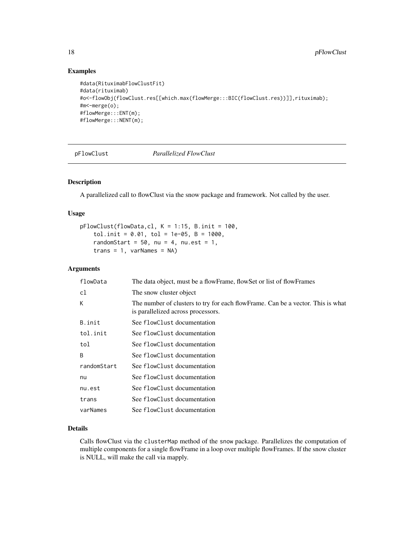#### Examples

```
#data(RituximabFlowClustFit)
#data(rituximab)
#o<-flowObj(flowClust.res[[which.max(flowMerge:::BIC(flowClust.res))]],rituximab);
#m<-merge(o);
#flowMerge:::ENT(m);
#flowMerge:::NENT(m);
```
<span id="page-17-1"></span>

pFlowClust *Parallelized FlowClust*

#### Description

A parallelized call to flowClust via the snow package and framework. Not called by the user.

#### Usage

```
pFlowClust(flowData,cl, K = 1:15, B.init = 100,
    tol.init = 0.01, tol = 1e-05, B = 1000,
    randomStart = 50, nu = 4, nu.est = 1,
    trans = 1, varNames = NA)
```
#### Arguments

| flowData     | The data object, must be a flowFrame, flowSet or list of flowFrames                                                   |
|--------------|-----------------------------------------------------------------------------------------------------------------------|
| cl           | The snow cluster object                                                                                               |
| К            | The number of clusters to try for each flowFrame. Can be a vector. This is what<br>is parallelized across processors. |
| B.init       | See flowClust documentation                                                                                           |
| tol.init     | See flowClust documentation                                                                                           |
| tol          | See flowClust documentation                                                                                           |
| <sub>R</sub> | See flowClust documentation                                                                                           |
| randomStart  | See flowClust documentation                                                                                           |
| nu           | See flowClust documentation                                                                                           |
| nu.est       | See flowClust documentation                                                                                           |
| trans        | See flowClust documentation                                                                                           |
| varNames     | See flowClust documentation                                                                                           |

#### Details

Calls flowClust via the clusterMap method of the snow package. Parallelizes the computation of multiple components for a single flowFrame in a loop over multiple flowFrames. If the snow cluster is NULL, will make the call via mapply.

<span id="page-17-0"></span>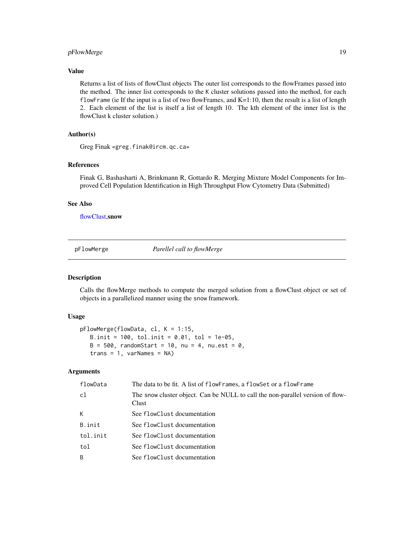#### <span id="page-18-0"></span>pFlowMerge 19

#### Value

Returns a list of lists of flowClust objects The outer list corresponds to the flowFrames passed into the method. The inner list corresponds to the K cluster solutions passed into the method, for each flowFrame (ie If the input is a list of two flowFrames, and K=1:10, then the result is a list of length 2. Each element of the list is itself a list of length 10. The kth element of the inner list is the flowClust k cluster solution.)

### Author(s)

Greg Finak «greg.finak@ircm.qc.ca»

#### References

Finak G, Bashasharti A, Brinkmann R, Gottardo R. Merging Mixture Model Components for Improved Cell Population Identification in High Throughput Flow Cytometry Data (Submitted)

#### See Also

[flowClust,](#page-0-0)snow

<span id="page-18-1"></span>pFlowMerge *Parellel call to flowMerge*

#### Description

Calls the flowMerge methods to compute the merged solution from a flowClust object or set of objects in a parallelized manner using the snow framework.

#### Usage

```
pFlowMerge(flowData, cl, K = 1:15,
   B.init = 100, tol.init = 0.01, tol = 1e-05,
  B = 500, randomStart = 10, nu = 4, nu.est = 0,
   trans = 1, varNames = NA)
```
#### Arguments

| flowData | The data to be fit. A list of flowFrames, a flowSet or a flowFrame                      |
|----------|-----------------------------------------------------------------------------------------|
| c1       | The snow cluster object. Can be NULL to call the non-parallel version of flow-<br>Clust |
| K        | See flowClust documentation                                                             |
| B.init   | See flowClust documentation                                                             |
| tol.init | See flowClust documentation                                                             |
| tol      | See flowClust documentation                                                             |
| B        | See flowClust documentation                                                             |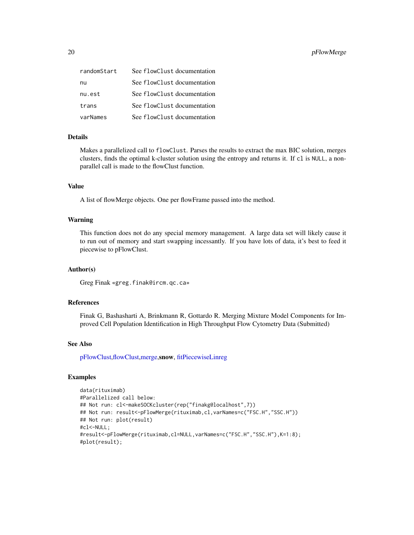<span id="page-19-0"></span>

| randomStart | See flowClust documentation |
|-------------|-----------------------------|
| nu          | See flowClust documentation |
| nu.est      | See flowClust documentation |
| trans       | See flowClust documentation |
| varNames    | See flowClust documentation |

#### Details

Makes a parallelized call to flowClust. Parses the results to extract the max BIC solution, merges clusters, finds the optimal k-cluster solution using the entropy and returns it. If cl is NULL, a nonparallel call is made to the flowClust function.

#### Value

A list of flowMerge objects. One per flowFrame passed into the method.

#### Warning

This function does not do any special memory management. A large data set will likely cause it to run out of memory and start swapping incessantly. If you have lots of data, it's best to feed it piecewise to pFlowClust.

#### Author(s)

Greg Finak «greg.finak@ircm.qc.ca»

#### References

Finak G, Bashasharti A, Brinkmann R, Gottardo R. Merging Mixture Model Components for Improved Cell Population Identification in High Throughput Flow Cytometry Data (Submitted)

#### See Also

[pFlowClust,](#page-17-1)[flowClust,](#page-0-0)[merge,](#page-12-1)snow, [fitPiecewiseLinreg](#page-4-1)

#### Examples

```
data(rituximab)
#Parallelized call below:
## Not run: cl<-makeSOCKcluster(rep("finakg@localhost",7))
## Not run: result<-pFlowMerge(rituximab,cl,varNames=c("FSC.H","SSC.H"))
## Not run: plot(result)
#cl<-NULL;
#result<-pFlowMerge(rituximab,cl=NULL,varNames=c("FSC.H","SSC.H"),K=1:8);
#plot(result);
```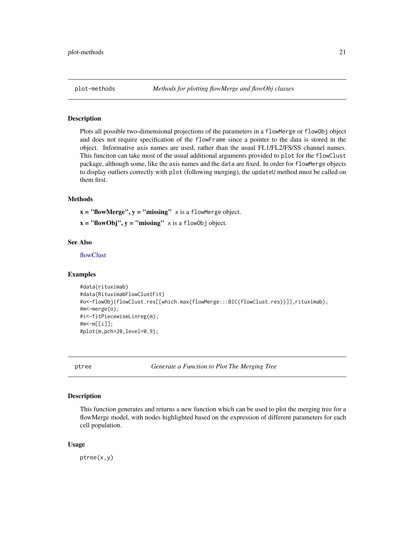<span id="page-20-0"></span>

#### **Description**

Plots all possible two-dimensional projections of the parameters in a flowMerge or flowObj object and does not require specification of the flowFrame since a pointer to the data is stored in the object. Informative axis names are used, rather than the usual FL1/FL2/FS/SS channel names. This funciton can take most of the usual additional arguments provided to plot for the flowClust package, although some, like the axis names and the data are fixed. In order for flowMerge objects to display outliers correctly with plot (following merging), the updateU method must be called on them first.

#### Methods

 $x = "flowMerge", y = "missing" x is a flowMerge object.$ 

 $x = "flowObj", y = "missing" x is a flowObj object.$ 

#### See Also

[flowClust](#page-0-0)

#### Examples

```
#data(rituximab)
#data(RituximabFlowClustFit)
#o<-flowObj(flowClust.res[[which.max(flowMerge:::BIC(flowClust.res))]],rituximab);
#m<-merge(o);
#i<-fitPiecewiseLinreg(m);
#m<-m[[i]];
#plot(m,pch=20,level=0.9);
```
ptree *Generate a Function to Plot The Merging Tree*

#### Description

This function generates and returns a new function which can be used to plot the merging tree for a flowMerge model, with nodes highlighted based on the expression of different parameters for each cell population.

#### Usage

ptree(x,y)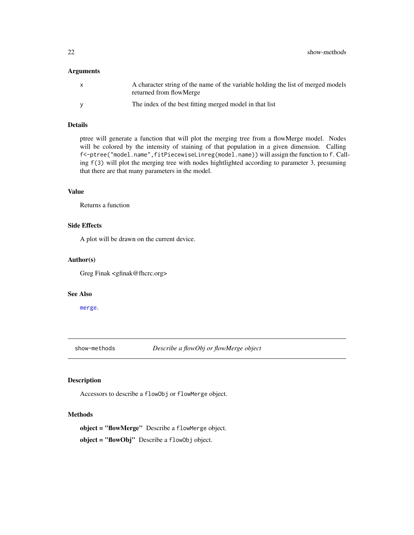#### <span id="page-21-0"></span>Arguments

|   | A character string of the name of the variable holding the list of merged models<br>returned from flowMerge |
|---|-------------------------------------------------------------------------------------------------------------|
| v | The index of the best fitting merged model in that list                                                     |

#### Details

ptree will generate a function that will plot the merging tree from a flowMerge model. Nodes will be colored by the intensity of staining of that population in a given dimension. Calling f<-ptree("model.name",fitPiecewiseLinreg(model.name)) will assign the function to f. Calling f(3) will plot the merging tree with nodes hightlighted according to parameter 3, presuming that there are that many parameters in the model.

#### Value

Returns a function

#### Side Effects

A plot will be drawn on the current device.

#### Author(s)

Greg Finak <gfinak@fhcrc.org>

#### See Also

[merge](#page-12-1).

show-methods *Describe a flowObj or flowMerge object*

#### Description

Accessors to describe a flowObj or flowMerge object.

#### Methods

object = "flowMerge" Describe a flowMerge object. object = "flowObj" Describe a flowObj object.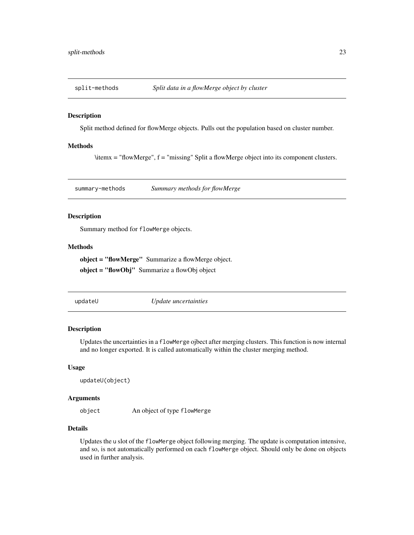<span id="page-22-0"></span>

#### Description

Split method defined for flowMerge objects. Pulls out the population based on cluster number.

#### Methods

\itemx = "flowMerge", f = "missing" Split a flowMerge object into its component clusters.

summary-methods *Summary methods for flowMerge*

#### Description

Summary method for flowMerge objects.

#### Methods

object = "flowMerge" Summarize a flowMerge object.

object = "flowObj" Summarize a flowObj object

updateU *Update uncertainties*

#### Description

Updates the uncertainties in a flowMerge ojbect after merging clusters. This function is now internal and no longer exported. It is called automatically within the cluster merging method.

#### Usage

```
updateU(object)
```
#### Arguments

object An object of type flowMerge

#### Details

Updates the u slot of the flowMerge object following merging. The update is computation intensive, and so, is not automatically performed on each flowMerge object. Should only be done on objects used in further analysis.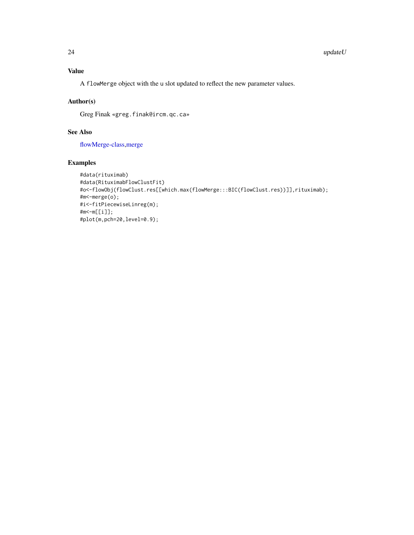#### <span id="page-23-0"></span>Value

A flowMerge object with the u slot updated to reflect the new parameter values.

#### Author(s)

Greg Finak «greg.finak@ircm.qc.ca»

#### See Also

[flowMerge-class](#page-7-1)[,merge](#page-12-1)

#### Examples

```
#data(rituximab)
#data(RituximabFlowClustFit)
#o<-flowObj(flowClust.res[[which.max(flowMerge:::BIC(flowClust.res))]],rituximab);
#m<-merge(o);
#i<-fitPiecewiseLinreg(m);
#m<-m[[i]];
#plot(m,pch=20,level=0.9);
```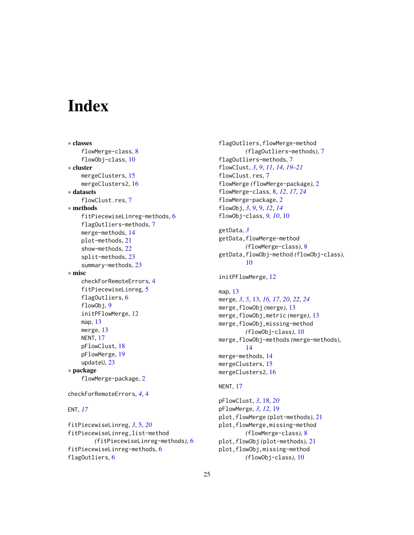# <span id="page-24-0"></span>**Index**

```
∗ classes
    flowMerge-class, 8
    flowObj-class, 10
∗ cluster
    mergeClusters, 15
    mergeClusters2, 16
∗ datasets
    flowClust.res, 7
∗ methods
    fitPiecewiseLinreg-methods, 6
    flagOutliers-methods, 7
    merge-methods, 14
    plot-methods, 21
    show-methods, 22
    split-methods, 23
    summary-methods, 23
∗ misc
    checkForRemoteErrors, 4
    fitPiecewiseLinreg, 5
    flagOutliers, 6
    flowObj, 9
    initPFlowMerge, 12
    map, 13
    merge, 13
    NENT, 17
    pFlowClust, 18
    pFlowMerge, 19
    updateU, 23
∗ package
    flowMerge-package, 2
checkForRemoteErrors, 4, 4
ENT, 17
```

```
fitPiecewiseLinreg, 3, 5, 20
fitPiecewiseLinreg,list-method
        (fitPiecewiseLinreg-methods), 6
fitPiecewiseLinreg-methods, 6
flagOutliers, 6
```
flagOutliers,flowMerge-method *(*flagOutliers-methods*)*, [7](#page-6-0) flagOutliers-methods, [7](#page-6-0) flowClust, *[3](#page-2-0)*, *[9](#page-8-0)*, *[11](#page-10-0)*, *[14](#page-13-0)*, *[19](#page-18-0)[–21](#page-20-0)* flowClust.res, [7](#page-6-0) flowMerge *(*flowMerge-package*)*, [2](#page-1-0) flowMerge-class, [8,](#page-7-0) *[12](#page-11-0)*, *[17](#page-16-0)*, *[24](#page-23-0)* flowMerge-package, [2](#page-1-0) flowObj, *[3](#page-2-0)*, *[9](#page-8-0)*, [9,](#page-8-0) *[12](#page-11-0)*, *[14](#page-13-0)* flowObj-class, *[9,](#page-8-0) [10](#page-9-0)*, [10](#page-9-0) getData, *[3](#page-2-0)* getData,flowMerge-method *(*flowMerge-class*)*, [8](#page-7-0) getData,flowObj-method *(*flowObj-class*)*, [10](#page-9-0) initPFlowMerge, [12](#page-11-0) map, [13](#page-12-0) merge, *[3](#page-2-0)*, *[5](#page-4-0)*, [13,](#page-12-0) *[16,](#page-15-0) [17](#page-16-0)*, *[20](#page-19-0)*, *[22](#page-21-0)*, *[24](#page-23-0)* merge,flowObj *(*merge*)*, [13](#page-12-0) merge,flowObj,metric *(*merge*)*, [13](#page-12-0) merge,flowObj,missing-method *(*flowObj-class*)*, [10](#page-9-0) merge,flowObj-methods *(*merge-methods*)*, [14](#page-13-0) merge-methods, [14](#page-13-0) mergeClusters, [15](#page-14-0) mergeClusters2, [16](#page-15-0) NENT, [17](#page-16-0) pFlowClust, *[3](#page-2-0)*, [18,](#page-17-0) *[20](#page-19-0)* pFlowMerge, *[3](#page-2-0)*, *[12](#page-11-0)*, [19](#page-18-0) plot,flowMerge *(*plot-methods*)*, [21](#page-20-0) plot,flowMerge,missing-method *(*flowMerge-class*)*, [8](#page-7-0) plot,flowObj *(*plot-methods*)*, [21](#page-20-0) plot,flowObj,missing-method

*(*flowObj-class*)*, [10](#page-9-0)